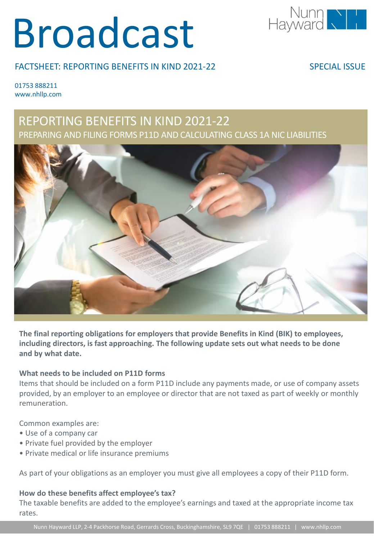# Broadcast



#### FACTSHEET: REPORTING BENEFITS IN KIND 2021-22

SPECIAL ISSUE

01753 888211 www.nhllp.com

### REPORTING BENEFITS IN KIND 2021-22 PREPARING AND FILING FORMS P11D AND CALCULATING CLASS 1A NIC LIABILITIES



**The final reporting obligations for employers that provide Benefits in Kind (BIK) to employees, including directors, is fast approaching. The following update sets out what needs to be done and by what date.**

#### **What needs to be included on P11D forms**

Items that should be included on a form P11D include any payments made, or use of company assets provided, by an employer to an employee or director that are not taxed as part of weekly or monthly remuneration.

Common examples are:

- Use of a company car
- Private fuel provided by the employer
- Private medical or life insurance premiums

As part of your obligations as an employer you must give all employees a copy of their P11D form.

#### **How do these benefits affect employee's tax?**

The taxable benefits are added to the employee's earnings and taxed at the appropriate income tax rates.